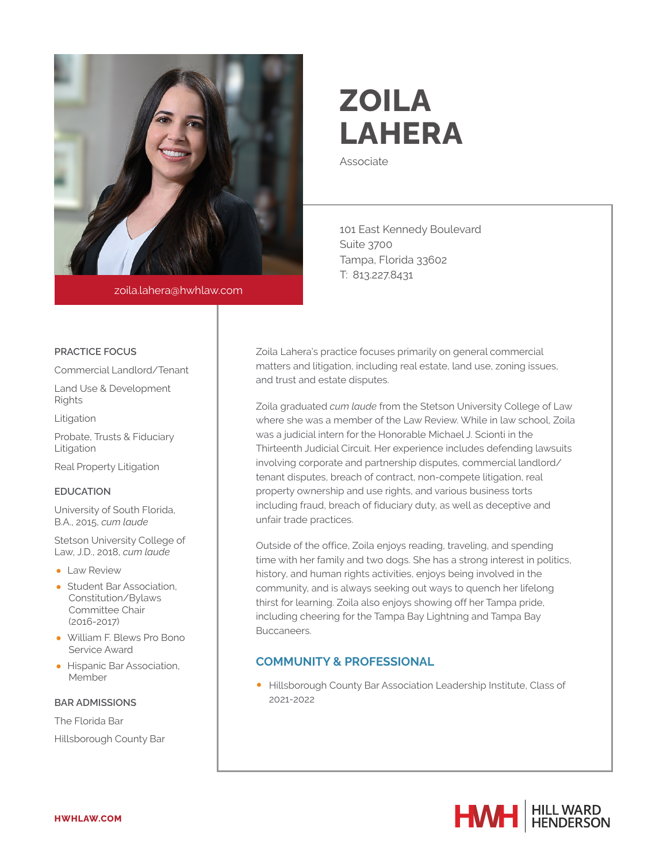

zoila.lahera@hwhlaw.com

# **ZOILA LAHERA**

Associate

101 East Kennedy Boulevard Suite 3700 Tampa, Florida 33602 T: 813.227.8431

Zoila Lahera's practice focuses primarily on general commercial matters and litigation, including real estate, land use, zoning issues, and trust and estate disputes.

Zoila graduated *cum laude* from the Stetson University College of Law where she was a member of the Law Review. While in law school, Zoila was a judicial intern for the Honorable Michael J. Scionti in the Thirteenth Judicial Circuit. Her experience includes defending lawsuits involving corporate and partnership disputes, commercial landlord/ tenant disputes, breach of contract, non-compete litigation, real property ownership and use rights, and various business torts including fraud, breach of fiduciary duty, as well as deceptive and unfair trade practices.

Outside of the office, Zoila enjoys reading, traveling, and spending time with her family and two dogs. She has a strong interest in politics, history, and human rights activities, enjoys being involved in the community, and is always seeking out ways to quench her lifelong thirst for learning. Zoila also enjoys showing off her Tampa pride, including cheering for the Tampa Bay Lightning and Tampa Bay Buccaneers.

### **COMMUNITY & PROFESSIONAL**

● Hillsborough County Bar Association Leadership Institute, Class of 2021-2022



#### **PRACTICE FOCUS**

Commercial Landlord/Tenant

Land Use & Development Rights

Litigation

Probate, Trusts & Fiduciary Litigation

Real Property Litigation

#### **EDUCATION**

University of South Florida, B.A., 2015, *cum laude*

Stetson University College of Law, J.D., 2018, *cum laude*

- Law Review
- Student Bar Association, Constitution/Bylaws Committee Chair (2016-2017)
- William F. Blews Pro Bono Service Award
- Hispanic Bar Association, Member

#### **BAR ADMISSIONS**

The Florida Bar

Hillsborough County Bar